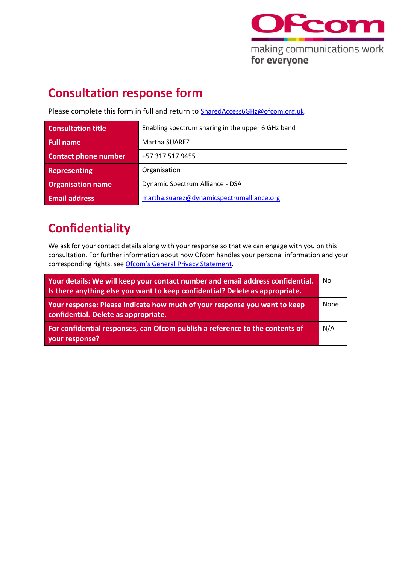

## **Consultation response form**

Please complete this form in full and return to **[SharedAccess6GHz@ofcom.org.uk.](mailto:SharedAccess6GHz@ofcom.org.uk)** 

| <b>Consultation title</b>   | Enabling spectrum sharing in the upper 6 GHz band |
|-----------------------------|---------------------------------------------------|
| <b>Full name</b>            | Martha SUAREZ                                     |
| <b>Contact phone number</b> | +57 317 517 9455                                  |
| Representing                | Organisation                                      |
| <b>Organisation name</b>    | Dynamic Spectrum Alliance - DSA                   |
| <b>Email address</b>        | martha.suarez@dynamicspectrumalliance.org         |

## **Confidentiality**

We ask for your contact details along with your response so that we can engage with you on this consultation. For further information about how Ofcom handles your personal information and your corresponding rights, see [Ofcom's General Privacy Statement](http://www.ofcom.org.uk/about-ofcom/foi-dp/general-privacy-statement).

| Your details: We will keep your contact number and email address confidential.<br>Is there anything else you want to keep confidential? Delete as appropriate. | No   |
|----------------------------------------------------------------------------------------------------------------------------------------------------------------|------|
| Your response: Please indicate how much of your response you want to keep<br>confidential. Delete as appropriate.                                              | None |
| For confidential responses, can Ofcom publish a reference to the contents of<br>your response?                                                                 | N/A  |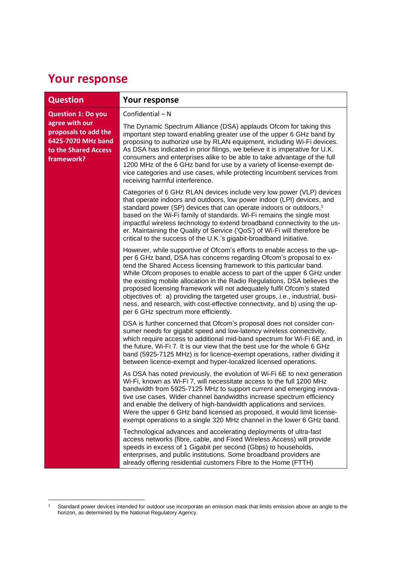## **Your response**

| <b>Question</b>                                                                                                                 | Your response                                                                                                                                                                                                                                                                                                                                                                                                                                                                                                                                                                                                                                                 |
|---------------------------------------------------------------------------------------------------------------------------------|---------------------------------------------------------------------------------------------------------------------------------------------------------------------------------------------------------------------------------------------------------------------------------------------------------------------------------------------------------------------------------------------------------------------------------------------------------------------------------------------------------------------------------------------------------------------------------------------------------------------------------------------------------------|
| <b>Question 1: Do you</b><br>agree with our<br>proposals to add the<br>6425-7070 MHz band<br>to the Shared Access<br>framework? | Confidential - N                                                                                                                                                                                                                                                                                                                                                                                                                                                                                                                                                                                                                                              |
|                                                                                                                                 | The Dynamic Spectrum Alliance (DSA) applauds Ofcom for taking this<br>important step toward enabling greater use of the upper 6 GHz band by<br>proposing to authorize use by RLAN equipment, including Wi-Fi devices.<br>As DSA has indicated in prior filings, we believe it is imperative for U.K.<br>consumers and enterprises alike to be able to take advantage of the full<br>1200 MHz of the 6 GHz band for use by a variety of license-exempt de-<br>vice categories and use cases, while protecting incumbent services from<br>receiving harmful interference.                                                                                       |
|                                                                                                                                 | Categories of 6 GHz RLAN devices include very low power (VLP) devices<br>that operate indoors and outdoors, low power indoor (LPI) devices, and<br>standard power (SP) devices that can operate indoors or outdoors, <sup>1</sup><br>based on the Wi-Fi family of standards. Wi-Fi remains the single most<br>impactful wireless technology to extend broadband connectivity to the us-<br>er. Maintaining the Quality of Service ('QoS') of Wi-Fi will therefore be<br>critical to the success of the U.K.'s gigabit-broadband initiative.                                                                                                                   |
|                                                                                                                                 | However, while supportive of Ofcom's efforts to enable access to the up-<br>per 6 GHz band, DSA has concerns regarding Ofcom's proposal to ex-<br>tend the Shared Access licensing framework to this particular band.<br>While Ofcom proposes to enable access to part of the upper 6 GHz under<br>the existing mobile allocation in the Radio Regulations, DSA believes the<br>proposed licensing framework will not adequately fulfil Ofcom's stated<br>objectives of: a) providing the targeted user groups, i.e., industrial, busi-<br>ness, and research, with cost-effective connectivity, and b) using the up-<br>per 6 GHz spectrum more efficiently. |
|                                                                                                                                 | DSA is further concerned that Ofcom's proposal does not consider con-<br>sumer needs for gigabit speed and low-latency wireless connectivity,<br>which require access to additional mid-band spectrum for Wi-Fi 6E and, in<br>the future, Wi-Fi 7. It is our view that the best use for the whole 6 GHz<br>band (5925-7125 MHz) is for licence-exempt operations, rather dividing it<br>between licence-exempt and hyper-localized licensed operations.                                                                                                                                                                                                       |
|                                                                                                                                 | As DSA has noted previously, the evolution of Wi-Fi 6E to next generation<br>Wi-Fi, known as Wi-Fi 7, will necessitate access to the full 1200 MHz<br>bandwidth from 5925-7125 MHz to support current and emerging innova-<br>tive use cases. Wider channel bandwidths increase spectrum efficiency<br>and enable the delivery of high-bandwidth applications and services.<br>Were the upper 6 GHz band licensed as proposed, it would limit license-<br>exempt operations to a single 320 MHz channel in the lower 6 GHz band.                                                                                                                              |
|                                                                                                                                 | Technological advances and accelerating deployments of ultra-fast<br>access networks (fibre, cable, and Fixed Wireless Access) will provide<br>speeds in excess of 1 Gigabit per second (Gbps) to households,<br>enterprises, and public institutions. Some broadband providers are<br>already offering residential customers Fibre to the Home (FTTH)                                                                                                                                                                                                                                                                                                        |

 $1$  Standard power devices intended for outdoor use incorporate an emission mask that limits emission above an angle to the horizon, as determined by the National Regulatory Agency.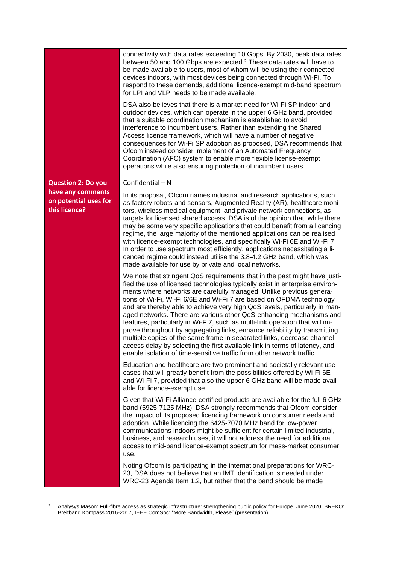|                                                                                          | connectivity with data rates exceeding 10 Gbps. By 2030, peak data rates<br>between 50 and 100 Gbps are expected. <sup>2</sup> These data rates will have to<br>be made available to users, most of whom will be using their connected<br>devices indoors, with most devices being connected through Wi-Fi. To<br>respond to these demands, additional licence-exempt mid-band spectrum<br>for LPI and VLP needs to be made available.<br>DSA also believes that there is a market need for Wi-Fi SP indoor and<br>outdoor devices, which can operate in the upper 6 GHz band, provided<br>that a suitable coordination mechanism is established to avoid<br>interference to incumbent users. Rather than extending the Shared<br>Access licence framework, which will have a number of negative<br>consequences for Wi-Fi SP adoption as proposed, DSA recommends that<br>Ofcom instead consider implement of an Automated Frequency<br>Coordination (AFC) system to enable more flexible license-exempt<br>operations while also ensuring protection of incumbent users. |
|------------------------------------------------------------------------------------------|----------------------------------------------------------------------------------------------------------------------------------------------------------------------------------------------------------------------------------------------------------------------------------------------------------------------------------------------------------------------------------------------------------------------------------------------------------------------------------------------------------------------------------------------------------------------------------------------------------------------------------------------------------------------------------------------------------------------------------------------------------------------------------------------------------------------------------------------------------------------------------------------------------------------------------------------------------------------------------------------------------------------------------------------------------------------------|
| <b>Question 2: Do you</b><br>have any comments<br>on potential uses for<br>this licence? | Confidential - N<br>In its proposal, Ofcom names industrial and research applications, such<br>as factory robots and sensors, Augmented Reality (AR), healthcare moni-<br>tors, wireless medical equipment, and private network connections, as<br>targets for licensed shared access. DSA is of the opinion that, while there<br>may be some very specific applications that could benefit from a licencing<br>regime, the large majority of the mentioned applications can be realised<br>with licence-exempt technologies, and specifically Wi-Fi 6E and Wi-Fi 7.<br>In order to use spectrum most efficiently, applications necessitating a li-<br>cenced regime could instead utilise the 3.8-4.2 GHz band, which was<br>made available for use by private and local networks.                                                                                                                                                                                                                                                                                        |
|                                                                                          | We note that stringent QoS requirements that in the past might have justi-<br>fied the use of licensed technologies typically exist in enterprise environ-<br>ments where networks are carefully managed. Unlike previous genera-<br>tions of Wi-Fi, Wi-Fi 6/6E and Wi-Fi 7 are based on OFDMA technology<br>and are thereby able to achieve very high QoS levels, particularly in man-<br>aged networks. There are various other QoS-enhancing mechanisms and<br>features, particularly in Wi-F 7, such as multi-link operation that will im-<br>prove throughput by aggregating links, enhance reliability by transmitting<br>multiple copies of the same frame in separated links, decrease channel<br>access delay by selecting the first available link in terms of latency, and<br>enable isolation of time-sensitive traffic from other network traffic.                                                                                                                                                                                                            |
|                                                                                          | Education and healthcare are two prominent and societally relevant use<br>cases that will greatly benefit from the possibilities offered by Wi-Fi 6E<br>and Wi-Fi 7, provided that also the upper 6 GHz band will be made avail-<br>able for licence-exempt use.                                                                                                                                                                                                                                                                                                                                                                                                                                                                                                                                                                                                                                                                                                                                                                                                           |
|                                                                                          | Given that Wi-Fi Alliance-certified products are available for the full 6 GHz<br>band (5925-7125 MHz), DSA strongly recommends that Ofcom consider<br>the impact of its proposed licencing framework on consumer needs and<br>adoption. While licencing the 6425-7070 MHz band for low-power<br>communications indoors might be sufficient for certain limited industrial,<br>business, and research uses, it will not address the need for additional<br>access to mid-band licence-exempt spectrum for mass-market consumer<br>use.                                                                                                                                                                                                                                                                                                                                                                                                                                                                                                                                      |
|                                                                                          | Noting Ofcom is participating in the international preparations for WRC-<br>23, DSA does not believe that an IMT identification is needed under<br>WRC-23 Agenda Item 1.2, but rather that the band should be made                                                                                                                                                                                                                                                                                                                                                                                                                                                                                                                                                                                                                                                                                                                                                                                                                                                         |

<sup>&</sup>lt;sup>2</sup> Analysys Mason: Full-fibre access as strategic infrastructure: strengthening public policy for Europe, June 2020. BREKO: Breitband Kompass 2016-2017, IEEE ComSoc: "More Bandwidth, Please" (presentation)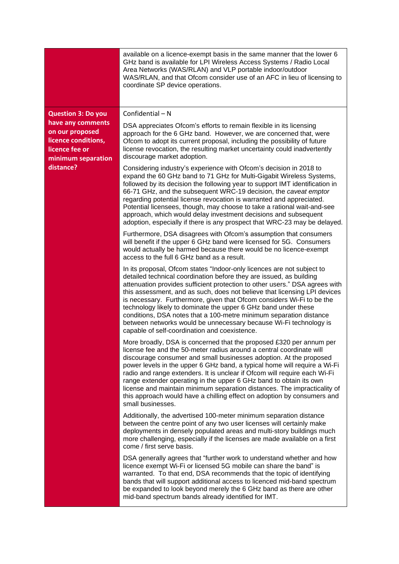|                                                                                                                  | available on a licence-exempt basis in the same manner that the lower 6<br>GHz band is available for LPI Wireless Access Systems / Radio Local<br>Area Networks (WAS/RLAN) and VLP portable indoor/outdoor<br>WAS/RLAN, and that Ofcom consider use of an AFC in lieu of licensing to<br>coordinate SP device operations.                                                                                                                                                                                                                                                                                                                        |
|------------------------------------------------------------------------------------------------------------------|--------------------------------------------------------------------------------------------------------------------------------------------------------------------------------------------------------------------------------------------------------------------------------------------------------------------------------------------------------------------------------------------------------------------------------------------------------------------------------------------------------------------------------------------------------------------------------------------------------------------------------------------------|
| <b>Question 3: Do you</b>                                                                                        | Confidential $- N$                                                                                                                                                                                                                                                                                                                                                                                                                                                                                                                                                                                                                               |
| have any comments<br>on our proposed<br>licence conditions,<br>licence fee or<br>minimum separation<br>distance? | DSA appreciates Ofcom's efforts to remain flexible in its licensing<br>approach for the 6 GHz band. However, we are concerned that, were<br>Ofcom to adopt its current proposal, including the possibility of future<br>license revocation, the resulting market uncertainty could inadvertently<br>discourage market adoption.                                                                                                                                                                                                                                                                                                                  |
|                                                                                                                  | Considering industry's experience with Ofcom's decision in 2018 to<br>expand the 60 GHz band to 71 GHz for Multi-Gigabit Wireless Systems,<br>followed by its decision the following year to support IMT identification in<br>66-71 GHz, and the subsequent WRC-19 decision, the caveat emptor<br>regarding potential license revocation is warranted and appreciated.<br>Potential licensees, though, may choose to take a rational wait-and-see<br>approach, which would delay investment decisions and subsequent<br>adoption, especially if there is any prospect that WRC-23 may be delayed.                                                |
|                                                                                                                  | Furthermore, DSA disagrees with Ofcom's assumption that consumers<br>will benefit if the upper 6 GHz band were licensed for 5G. Consumers<br>would actually be harmed because there would be no licence-exempt<br>access to the full 6 GHz band as a result.                                                                                                                                                                                                                                                                                                                                                                                     |
|                                                                                                                  | In its proposal, Ofcom states "Indoor-only licences are not subject to<br>detailed technical coordination before they are issued, as building<br>attenuation provides sufficient protection to other users." DSA agrees with<br>this assessment, and as such, does not believe that licensing LPI devices<br>is necessary. Furthermore, given that Ofcom considers Wi-Fi to be the<br>technology likely to dominate the upper 6 GHz band under these<br>conditions, DSA notes that a 100-metre minimum separation distance<br>between networks would be unnecessary because Wi-Fi technology is<br>capable of self-coordination and coexistence. |
|                                                                                                                  | More broadly, DSA is concerned that the proposed £320 per annum per<br>license fee and the 50-meter radius around a central coordinate will<br>discourage consumer and small businesses adoption. At the proposed<br>power levels in the upper 6 GHz band, a typical home will require a Wi-Fi<br>radio and range extenders. It is unclear if Ofcom will require each Wi-Fi<br>range extender operating in the upper 6 GHz band to obtain its own<br>license and maintain minimum separation distances. The impracticality of<br>this approach would have a chilling effect on adoption by consumers and<br>small businesses.                    |
|                                                                                                                  | Additionally, the advertised 100-meter minimum separation distance<br>between the centre point of any two user licenses will certainly make<br>deployments in densely populated areas and multi-story buildings much<br>more challenging, especially if the licenses are made available on a first<br>come / first serve basis.                                                                                                                                                                                                                                                                                                                  |
|                                                                                                                  | DSA generally agrees that "further work to understand whether and how<br>licence exempt Wi-Fi or licensed 5G mobile can share the band" is<br>warranted. To that end, DSA recommends that the topic of identifying<br>bands that will support additional access to licenced mid-band spectrum<br>be expanded to look beyond merely the 6 GHz band as there are other<br>mid-band spectrum bands already identified for IMT.                                                                                                                                                                                                                      |